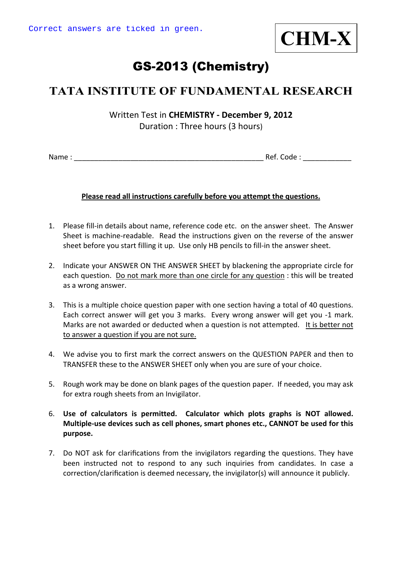

# GS-2013 (Chemistry)

## **TATA INSTITUTE OF FUNDAMENTAL RESEARCH**

Written Test in **CHEMISTRY ‐ December 9, 2012** Duration : Three hours (3 hours)

Name : \_\_\_\_\_\_\_\_\_\_\_\_\_\_\_\_\_\_\_\_\_\_\_\_\_\_\_\_\_\_\_\_\_\_\_\_\_\_\_\_\_\_\_\_\_\_\_ Ref. Code : \_\_\_\_\_\_\_\_\_\_\_\_

#### **Please read all instructions carefully before you attempt the questions.**

- 1. Please fill‐in details about name, reference code etc. on the answer sheet. The Answer Sheet is machine‐readable. Read the instructions given on the reverse of the answer sheet before you start filling it up. Use only HB pencils to fill‐in the answer sheet.
- 2. Indicate your ANSWER ON THE ANSWER SHEET by blackening the appropriate circle for each question. Do not mark more than one circle for any question : this will be treated as a wrong answer.
- 3. This is a multiple choice question paper with one section having a total of 40 questions. Each correct answer will get you 3 marks. Every wrong answer will get you ‐1 mark. Marks are not awarded or deducted when a question is not attempted. It is better not to answer a question if you are not sure.
- 4. We advise you to first mark the correct answers on the QUESTION PAPER and then to TRANSFER these to the ANSWER SHEET only when you are sure of your choice.
- 5. Rough work may be done on blank pages of the question paper. If needed, you may ask for extra rough sheets from an Invigilator.
- 6. **Use of calculators is permitted. Calculator which plots graphs is NOT allowed. Multiple‐use devices such as cell phones, smart phones etc., CANNOT be used for this purpose.**
- 7. Do NOT ask for clarifications from the invigilators regarding the questions. They have been instructed not to respond to any such inquiries from candidates. In case a correction/clarification is deemed necessary, the invigilator(s) will announce it publicly.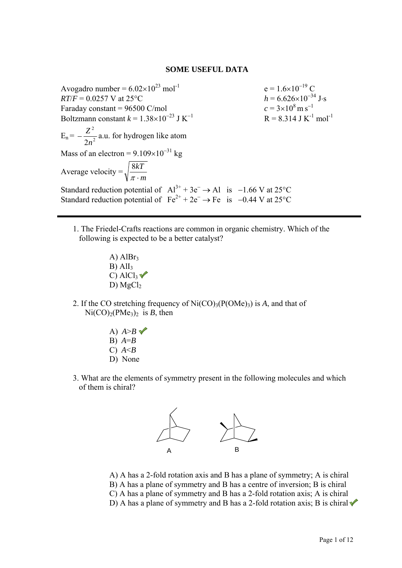#### **SOME USEFUL DATA**

Avogadro number =  $6.02 \times 10^{23}$  mol<sup>-1</sup> e =  $1.6 \times 10^{-19}$  C<br>  $RT/F = 0.0257$  V at  $25^{\circ}$ C<br>  $h = 6.626 \times 10^{-34}$  J·s  $RT/F = 0.0257$  V at 25 $^{\circ}$ C Faraday constant =  $96500$  C/mol  $c = 3 \times 10^8 \,\mathrm{m\,s}^{-1}$ Boltzmann constant  $k = 1.38 \times 10^{-23}$  J K<sup>-1</sup>  $R = 8.314$  J K<sup>-1</sup> mol<sup>-1</sup>  $E_n = -\frac{2}{2a^2}$ 2 2*n*  $-\frac{Z^2}{Z^2}$  a.u. for hydrogen like atom Mass of an electron =  $9.109 \times 10^{-31}$  kg Average velocity = *m kT*  $\pi$ . 8 Standard reduction potential of  $Al^{3+} + 3e^- \rightarrow Al$  is −1.66 V at 25°C Standard reduction potential of  $Fe^{2+} + 2e^- \rightarrow Fe$  is −0.44 V at 25°C

- 1. The Friedel-Crafts reactions are common in organic chemistry. Which of the following is expected to be a better catalyst?
	- A)  $AlBr<sub>3</sub>$  $B)$  Al<sub>I3</sub> C) Al $Cl_3$ D) MgCl<sub>2</sub>
- 2. If the CO stretching frequency of  $Ni(CO)_{3}(P(OMe)_{3})$  is *A*, and that of  $Ni(CO)<sub>2</sub>(PMe<sub>3</sub>)<sub>2</sub>$  is *B*, then
	- A)  $A > B \blacktriangleright$ B) *A*=*B* C) *A*<*B* D) None
- 3. What are the elements of symmetry present in the following molecules and which of them is chiral?



A) A has a 2-fold rotation axis and B has a plane of symmetry; A is chiral B) A has a plane of symmetry and B has a centre of inversion; B is chiral C) A has a plane of symmetry and B has a 2-fold rotation axis; A is chiral

D) A has a plane of symmetry and B has a 2-fold rotation axis; B is chiral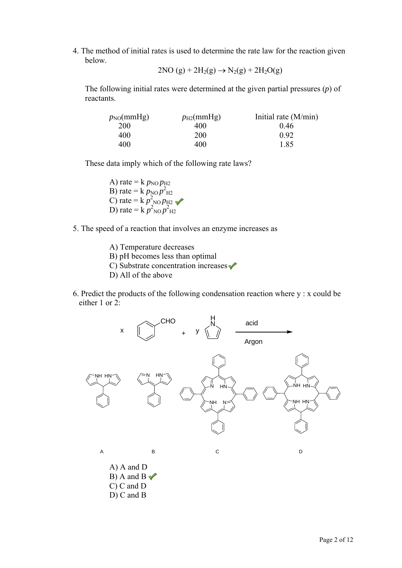4. The method of initial rates is used to determine the rate law for the reaction given below.

$$
2NO\left(g\right)+2H_2(g)\rightarrow N_2(g)+2H_2O(g)
$$

The following initial rates were determined at the given partial pressures (*p*) of reactants.

| $p_{NO}(mmHg)$ | $p_{\text{H2}}$ (mmHg) | Initial rate $(M/min)$ |
|----------------|------------------------|------------------------|
| <b>200</b>     | 400                    | 046                    |
| 400            | 200                    | 0.92                   |
| 400            | 400                    | 1.85                   |

These data imply which of the following rate laws?

A) rate =  $k p_{\text{NO}} p_{\text{H2}}$ B) rate =  $k p_{\text{NO}} p_{\text{H2}}^2$ C) rate =  $k p_{\text{NO}}^2 p_{\text{H2}}^2$ D) rate =  $k \, p_{\text{NO}}^2 p_{\text{H2}}^2$ 

- 5. The speed of a reaction that involves an enzyme increases as
	- A) Temperature decreases B) pH becomes less than optimal
	-
	- C) Substrate concentration increases  $\checkmark$
	- D) All of the above
- 6. Predict the products of the following condensation reaction where y : x could be either 1 or 2:

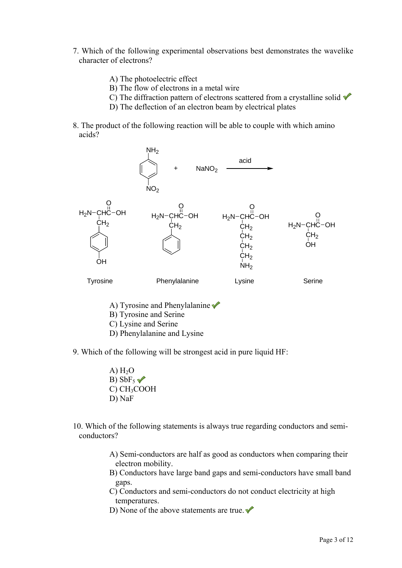- 7. Which of the following experimental observations best demonstrates the wavelike character of electrons?
	- A) The photoelectric effect
	- B) The flow of electrons in a metal wire
	- C) The diffraction pattern of electrons scattered from a crystalline solid  $\checkmark$
	- D) The deflection of an electron beam by electrical plates
- 8. The product of the following reaction will be able to couple with which amino acids?



- A) Tyrosine and Phenylalanine
- B) Tyrosine and Serine
- C) Lysine and Serine
- D) Phenylalanine and Lysine
- 9. Which of the following will be strongest acid in pure liquid HF:
	- A)  $H<sub>2</sub>O$ B)  $SbF_5$   $\checkmark$ C) CH3COOH D) NaF
- 10. Which of the following statements is always true regarding conductors and semiconductors?
	- A) Semi-conductors are half as good as conductors when comparing their electron mobility.
	- B) Conductors have large band gaps and semi-conductors have small band gaps.
	- C) Conductors and semi-conductors do not conduct electricity at high temperatures.
	- D) None of the above statements are true.  $\checkmark$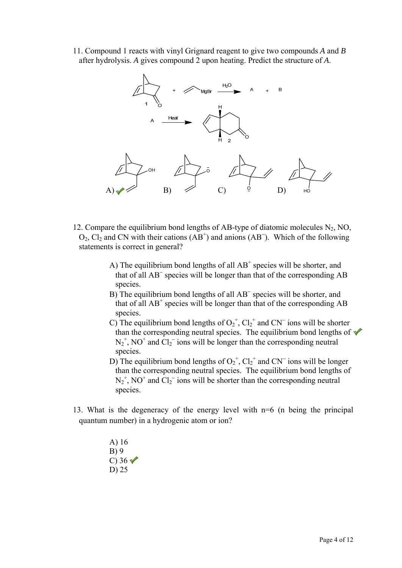11. Compound 1 reacts with vinyl Grignard reagent to give two compounds *A* and *B* after hydrolysis. *A* gives compound 2 upon heating. Predict the structure of *A*.



- 12. Compare the equilibrium bond lengths of AB-type of diatomic molecules  $N_2$ , NO,  $O_2$ ,  $Cl_2$  and CN with their cations (AB<sup>+</sup>) and anions (AB<sup>-</sup>). Which of the following statements is correct in general?
	- A) The equilibrium bond lengths of all  $AB^+$  species will be shorter, and that of all AB<sup>−</sup> species will be longer than that of the corresponding AB species.
	- B) The equilibrium bond lengths of all AB<sup>−</sup> species will be shorter, and that of all  $AB^+$  species will be longer than that of the corresponding  $AB$ species.
	- C) The equilibrium bond lengths of  $O_2^+$ ,  $Cl_2^+$  and CN<sup>-</sup> ions will be shorter than the corresponding neutral species. The equilibrium bond lengths of  $\checkmark$  $N_2^+$ , NO<sup>+</sup> and Cl<sub>2</sub><sup>-</sup> ions will be longer than the corresponding neutral species.
	- D) The equilibrium bond lengths of  $O_2^+$ ,  $Cl_2^+$  and CN<sup>-</sup> ions will be longer than the corresponding neutral species. The equilibrium bond lengths of  $N_2^+$ , NO<sup>+</sup> and  $Cl_2^-$  ions will be shorter than the corresponding neutral species.
- 13. What is the degeneracy of the energy level with n=6 (n being the principal quantum number) in a hydrogenic atom or ion?
	- A) 16 B) 9 C)  $36\sqrt{ }$ D) 25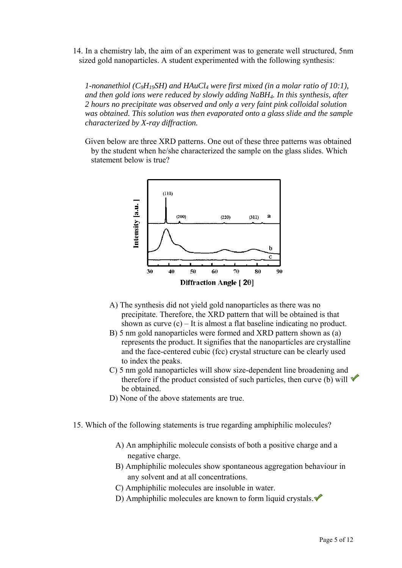14. In a chemistry lab, the aim of an experiment was to generate well structured, 5nm sized gold nanoparticles. A student experimented with the following synthesis:

*1-nonanethiol (C<sub>9</sub>H<sub>19</sub>SH) and HAuCl<sub>4</sub> were first mixed (in a molar ratio of 10:1), and then gold ions were reduced by slowly adding NaBH4. In this synthesis, after 2 hours no precipitate was observed and only a very faint pink colloidal solution was obtained. This solution was then evaporated onto a glass slide and the sample characterized by X-ray diffraction.* 

Given below are three XRD patterns. One out of these three patterns was obtained by the student when he/she characterized the sample on the glass slides. Which statement below is true?



- A) The synthesis did not yield gold nanoparticles as there was no precipitate. Therefore, the XRD pattern that will be obtained is that shown as curve (c) – It is almost a flat baseline indicating no product.
- B) 5 nm gold nanoparticles were formed and XRD pattern shown as (a) represents the product. It signifies that the nanoparticles are crystalline and the face-centered cubic (fcc) crystal structure can be clearly used to index the peaks.
- C) 5 nm gold nanoparticles will show size-dependent line broadening and therefore if the product consisted of such particles, then curve (b) will  $\checkmark$ be obtained.
- D) None of the above statements are true.
- 15. Which of the following statements is true regarding amphiphilic molecules?
	- A) An amphiphilic molecule consists of both a positive charge and a negative charge.
	- B) Amphiphilic molecules show spontaneous aggregation behaviour in any solvent and at all concentrations.
	- C) Amphiphilic molecules are insoluble in water.
	- D) Amphiphilic molecules are known to form liquid crystals.  $\blacklozenge$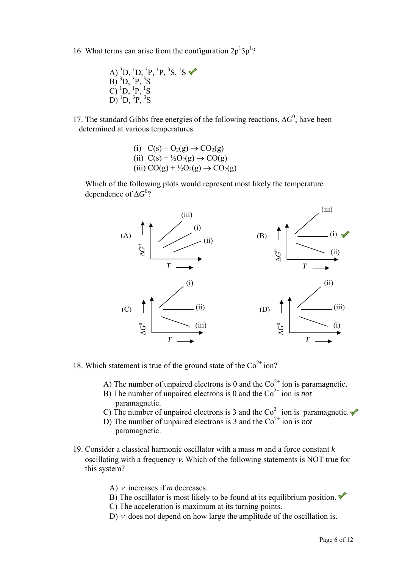- 16. What terms can arise from the configuration  $2p^13p^1$ ?
	- A)  ${}^{3}D, {}^{1}D, {}^{3}P, {}^{1}P, {}^{3}S, {}^{1}S$  $\overline{B}$ )  ${}^{3}D, {}^{3}P, {}^{3}S$ C)  ${}^{1}D, {}^{1}P, {}^{1}S$  $\overline{D}$ ) <sup>1</sup> $\overline{D}$ , <sup>3</sup> $\overline{P}$ , <sup>3</sup> $\overline{S}$
- 17. The standard Gibbs free energies of the following reactions,  $\Delta G^0$ , have been determined at various temperatures.
	- (i)  $C(s) + O_2(g) \rightarrow CO_2(g)$ (ii)  $C(s) + \frac{1}{2}O_2(g) \rightarrow CO(g)$ (iii)  $CO(g) + \frac{1}{2}O_2(g) \rightarrow CO_2(g)$

Which of the following plots would represent most likely the temperature dependence of Δ*G*<sup>0</sup>?



- 18. Which statement is true of the ground state of the  $\text{Co}^{2+}$  ion?
	- A) The number of unpaired electrons is 0 and the  $\text{Co}^{2+}$  ion is paramagnetic.
	- B) The number of unpaired electrons is 0 and the  $Co<sup>2+</sup>$  ion is *not* paramagnetic.
	- C) The number of unpaired electrons is 3 and the  $Co<sup>2+</sup>$  ion is paramagnetic.
	- D) The number of unpaired electrons is 3 and the  $Co<sup>2+</sup>$  ion is *not* paramagnetic.
- 19. Consider a classical harmonic oscillator with a mass *m* and a force constant *k* oscillating with a frequency ν. Which of the following statements is NOT true for this system?
	- A) ν increases if *m* decreases.
	- B) The oscillator is most likely to be found at its equilibrium position.  $\blacklozenge$
	- C) The acceleration is maximum at its turning points.
	- D)  $\nu$  does not depend on how large the amplitude of the oscillation is.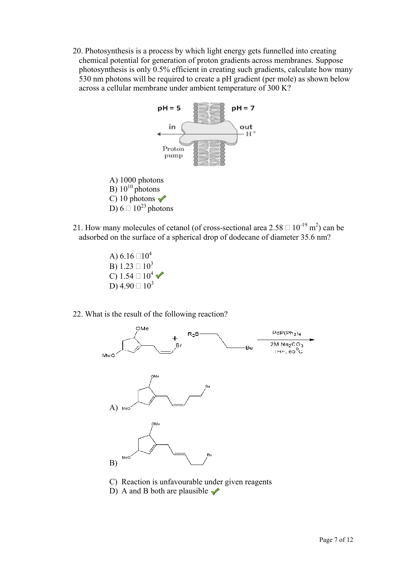20. Photosynthesis is a process by which light energy gets funnelled into creating chemical potential for generation of proton gradients across membranes. Suppose photosynthesis is only 0.5% efficient in creating such gradients, calculate how many 530 nm photons will be required to create a pH gradient (per mole) as shown below across a cellular membrane under ambient temperature of 300 K?



- 21. How many molecules of cetanol (of cross-sectional area  $2.58 \square 10^{-19}$  m<sup>2</sup>) can be adsorbed on the surface of a spherical drop of dodecane of diameter 35.6 nm?
	- A)  $6.16 \square 10^4$  $\vec{B}$ ) 1.23  $\Box$  10<sup>3</sup> C)  $1.54 \square 10^4$   $\sqrt{ }$ D)  $4.90 \square 10^3$
- 22. What is the result of the following reaction?



- C) Reaction is unfavourable under given reagents
- D) A and B both are plausible  $\sqrt{\phantom{a}}$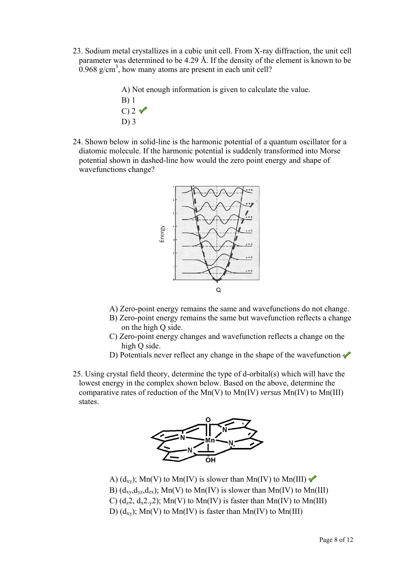- 23. Sodium metal crystallizes in a cubic unit cell. From X-ray diffraction, the unit cell parameter was determined to be 4.29 Å. If the density of the element is known to be  $0.968$  g/cm<sup>3</sup>, how many atoms are present in each unit cell?
	- A) Not enough information is given to calculate the value.
	- B) 1  $C$ ) 2  $\sqrt{ }$ D) 3
- 24. Shown below in solid-line is the harmonic potential of a quantum oscillator for a diatomic molecule. If the harmonic potential is suddenly transformed into Morse potential shown in dashed-line how would the zero point energy and shape of wavefunctions change?



- A) Zero-point energy remains the same and wavefunctions do not change.
- B) Zero-point energy remains the same but wavefunction reflects a change on the high Q side.
- C) Zero-point energy changes and wavefunction reflects a change on the high Q side.
- D) Potentials never reflect any change in the shape of the wavefunction  $\sqrt{\ }$
- 25. Using crystal field theory, determine the type of d-orbital(s) which will have the lowest energy in the complex shown below. Based on the above, determine the comparative rates of reduction of the Mn(V) to Mn(IV) *versus* Mn(IV) to Mn(III) states.



- A)  $(d_{xy})$ ; Mn(V) to Mn(IV) is slower than Mn(IV) to Mn(III) B)  $(d_{xy}, d_{yz}, d_{zx})$ ; Mn(V) to Mn(IV) is slower than Mn(IV) to Mn(III) C)  $(d_z 2, d_x 2, z)$ ; Mn(V) to Mn(IV) is faster than Mn(IV) to Mn(III)
- D)  $(d_{xy})$ ; Mn(V) to Mn(IV) is faster than Mn(IV) to Mn(III)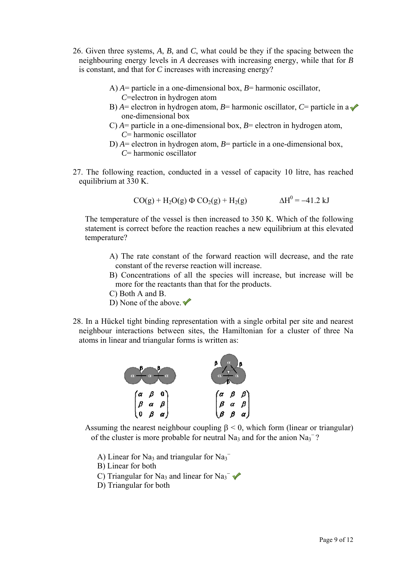- 26. Given three systems, *A*, *B*, and *C*, what could be they if the spacing between the neighbouring energy levels in *A* decreases with increasing energy, while that for *B* is constant, and that for *C* increases with increasing energy?
	- A) *A*= particle in a one-dimensional box, *B*= harmonic oscillator, *C*=electron in hydrogen atom
	- B)  $A =$  electron in hydrogen atom,  $B =$  harmonic oscillator,  $C =$  particle in a  $\triangle$ one-dimensional box
	- C)  $A$ = particle in a one-dimensional box,  $B$ = electron in hydrogen atom, *C*= harmonic oscillator
	- D) *A*= electron in hydrogen atom, *B*= particle in a one-dimensional box, *C*= harmonic oscillator
- 27. The following reaction, conducted in a vessel of capacity 10 litre, has reached equilibrium at 330 K.

$$
CO(g) + H_2O(g) \Phi CO_2(g) + H_2(g)
$$
  $\Delta H^0 = -41.2 \text{ kJ}$ 

The temperature of the vessel is then increased to 350 K. Which of the following statement is correct before the reaction reaches a new equilibrium at this elevated temperature?

- A) The rate constant of the forward reaction will decrease, and the rate constant of the reverse reaction will increase.
- B) Concentrations of all the species will increase, but increase will be more for the reactants than that for the products.
- C) Both A and B.
- D) None of the above.  $\blacktriangledown$
- 28. In a Hückel tight binding representation with a single orbital per site and nearest neighbour interactions between sites, the Hamiltonian for a cluster of three Na atoms in linear and triangular forms is written as:



Assuming the nearest neighbour coupling  $\beta$  < 0, which form (linear or triangular) of the cluster is more probable for neutral Na<sub>3</sub> and for the anion Na<sub>3</sub><sup>-</sup>?

- A) Linear for Na<sub>3</sub> and triangular for Na<sub>3</sub><sup>-</sup>
- B) Linear for both
- C) Triangular for Na<sub>3</sub> and linear for Na<sub>3</sub><sup>-</sup>
- D) Triangular for both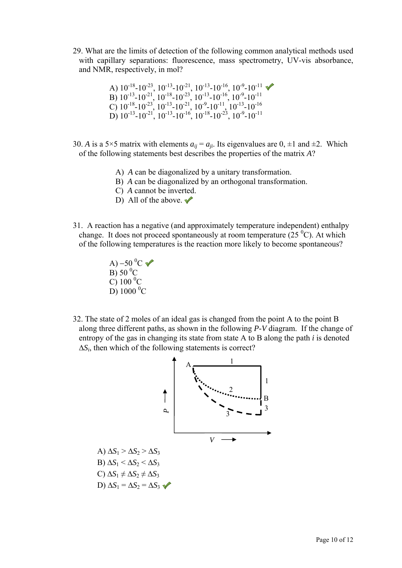29. What are the limits of detection of the following common analytical methods used with capillary separations: fluorescence, mass spectrometry, UV-vis absorbance, and NMR, respectively, in mol?

A) 
$$
10^{-18} - 10^{-23}
$$
,  $10^{-13} - 10^{-21}$ ,  $10^{-13} - 10^{-16}$ ,  $10^{-9} - 10^{-11}$   
\nB)  $10^{-13} - 10^{-21}$ ,  $10^{-18} - 10^{-23}$ ,  $10^{-13} - 10^{-16}$ ,  $10^{-9} - 10^{-11}$   
\nC)  $10^{-18} - 10^{-23}$ ,  $10^{-13} - 10^{-21}$ ,  $10^{-9} - 10^{-11}$ ,  $10^{-13} - 10^{-16}$   
\nD)  $10^{-13} - 10^{-21}$ ,  $10^{-13} - 10^{-16}$ ,  $10^{-18} - 10^{-23}$ ,  $10^{-9} - 10^{-11}$ 

- 30. *A* is a 5×5 matrix with elements  $a_{ii} = a_{ii}$ . Its eigenvalues are 0,  $\pm 1$  and  $\pm 2$ . Which of the following statements best describes the properties of the matrix *A*?
	- A) *A* can be diagonalized by a unitary transformation.
	- B) *A* can be diagonalized by an orthogonal transformation.
	- C) *A* cannot be inverted.
	- D) All of the above.  $\blacktriangleright$
- 31. A reaction has a negative (and approximately temperature independent) enthalpy change. It does not proceed spontaneously at room temperature  $(25<sup>0</sup>C)$ . At which of the following temperatures is the reaction more likely to become spontaneous?

A) –50 $^0C$  $\overline{B}$ ) 50 $\overline{C}$  $\overline{C}$ ) 100 <sup>0</sup>C  $\overline{D}$ ) 1000 <sup>0</sup>C

32. The state of 2 moles of an ideal gas is changed from the point A to the point B along three different paths, as shown in the following *P*-*V* diagram. If the change of entropy of the gas in changing its state from state A to B along the path *i* is denoted  $\Delta S_i$ , then which of the following statements is correct?

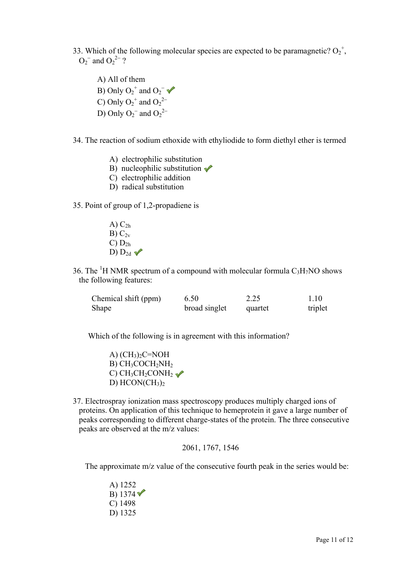33. Which of the following molecular species are expected to be paramagnetic?  $O_2^+$ ,  $O_2^-$  and  $O_2^2^-$  ?

A) All of them B) Only  $O_2^+$  and  $O_2^-$ C) Only  $O_2^+$  and  $O_2^{\,2-}$ D) Only  $O_2^-$  and  $O_2^2^-$ 

34. The reaction of sodium ethoxide with ethyliodide to form diethyl ether is termed

- A) electrophilic substitution
- B) nucleophilic substitution  $\sqrt{\ }$
- C) electrophilic addition
- D) radical substitution

35. Point of group of 1,2-propadiene is

- A)  $C_{2h}$  $B) C_{2v}$  $C$ )  $D_{2h}$  $D)$   $D_{2d}$
- 36. The <sup>1</sup>H NMR spectrum of a compound with molecular formula  $C_3H_7NO$  shows the following features:

| Chemical shift (ppm) | 6.50          | 2.25    | 1.10    |
|----------------------|---------------|---------|---------|
| Shape                | broad singlet | quartet | triplet |

Which of the following is in agreement with this information?

A)  $(CH_3)_2C=NOH$  $B)$  CH<sub>3</sub>COCH<sub>2</sub>NH<sub>2</sub> C)  $CH_3CH_2CONH_2 \rightarrow$ D)  $HCON(CH_3)_2$ 

37. Electrospray ionization mass spectroscopy produces multiply charged ions of proteins. On application of this technique to hemeprotein it gave a large number of peaks corresponding to different charge-states of the protein. The three consecutive peaks are observed at the m/z values:

2061, 1767, 1546

The approximate m/z value of the consecutive fourth peak in the series would be:

A) 1252 B)  $1374$ C) 1498 D) 1325